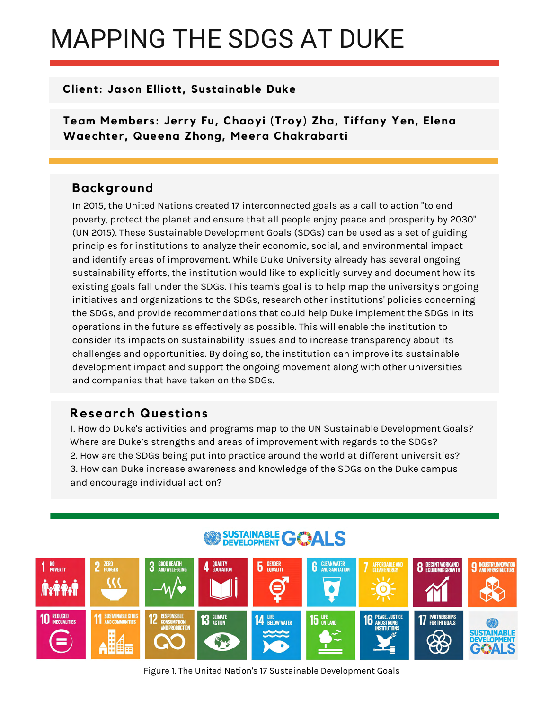# MAPPING THE SDGS AT DUKE

## **Client: Jason Elliott, Sustainable Duke**

**Team Members: Jerry Fu, Chaoyi (Troy) Zha, Tiffany Yen, Elena Waechter, Queena Zhong, Meera Chakrabarti** 

## **Background**

In 2015, the United Nations created 17 interconnected goals as a call to action "to end poverty, protect the planet and ensure that all people enjoy peace and prosperity by 2030" (UN 2015). These Sustainable Development Goals (SDGs) can be used as a set of guiding principles for institutions to analyze their economic, social, and environmental impact and identify areas of improvement. While Duke University already has several ongoing sustainability efforts, the institution would like to explicitly survey and document how its existing goals fall under the SDGs. This team's goal is to help map the university's ongoing initiatives and organizations to the SDGs, research other institutions' policies concerning the SDGs, and provide recommendations that could help Duke implement the SDGs in its operations in the future as effectively as possible. This will enable the institution to consider its impacts on sustainability issues and to increase transparency about its challenges and opportunities. By doing so, the institution can improve its sustainable development impact and support the ongoing movement along with other universities and companies that have taken on the SDGs.

## **Research Questions**

1. How do Duke's activities and programs map to the UN Sustainable Development Goals? Where are Duke's strengths and areas of improvement with regards to the SDGs? 2. How are the SDGs being put into practice around the world at different universities? 3. How can Duke increase awareness and knowledge of the SDGs on the Duke campus and encourage individual action?

## SUSTAINABLE **GOALS**



Figure 1. The United Nation's 17 Sustainable Development Goals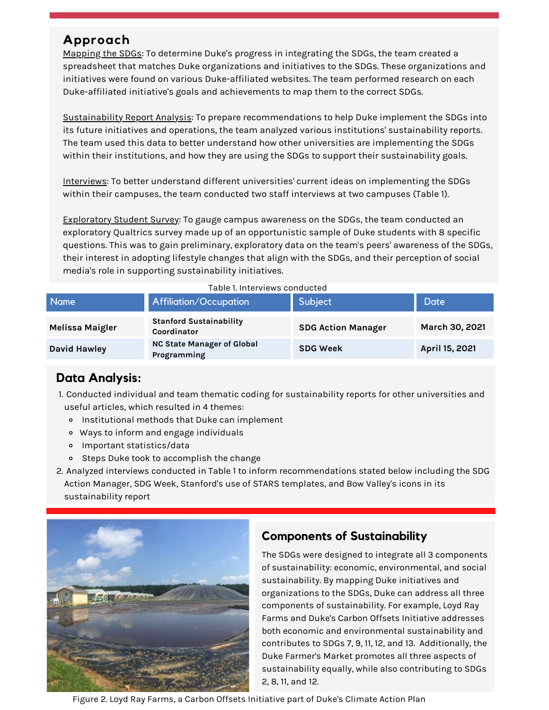## **Approach**

Mapping the SDGs: To determine Duke's progress in integrating the SDGs, the team created a spreadsheet that matches Duke organizations and initiatives to the SDGs. These organizations and initiatives were found on various Duke-affiliated websites. The team performed research on each Duke-affiliated initiative's goals and achievements to map them to the correct SDGs.

Sustainability Report Analysis: To prepare recommendations to help Duke implement the SDGs into its future initiatives and operations, the team analyzed various institutions' sustainability reports. The team used this data to better understand how other universities are implementing the SDGs within their institutions, and how they are using the SDGs to support their sustainability goals.

Interviews: To better understand different universities' current ideas on implementing the SDGs within their campuses, the team conducted two staff interviews at two campuses (Table 1).

Exploratory Student Survey: To gauge campus awareness on the SDGs, the team conducted an exploratory Qualtrics survey made up of an opportunistic sample of Duke students with 8 specific questions. This was to gain preliminary, exploratory data on the team's peers' awareness of the SDGs, their interest in adopting lifestyle changes that align with the SDGs, and their perception of social media's role in supporting sustainability initiatives.

| <b>Name</b>            | <b>Affiliation/Occupation</b>                    | Subject                   | <b>Date</b>    |
|------------------------|--------------------------------------------------|---------------------------|----------------|
| <b>Melissa Maigler</b> | <b>Stanford Sustainability</b><br>Coordinator    | <b>SDG Action Manager</b> | March 30, 2021 |
| <b>David Hawley</b>    | <b>NC State Manager of Global</b><br>Programming | <b>SDG Week</b>           | April 15, 2021 |

## **Data Analysis:**

- 1. Conducted individual and team thematic coding for sustainability reports for other universities and useful articles, which resulted in 4 themes:
	- Institutional methods that Duke can implement
	- Ways to inform and engage individuals
	- Important statistics/data
	- o Steps Duke took to accomplish the change
- 2. Analyzed interviews conducted in Table 1 to inform recommendations stated below including the SDG Action Manager, SDG Week, Stanford's use of STARS templates, and Bow Valley's icons in its sustainability report



## **Components of Sustainability**

The SDGs were designed to integrate all 3 components of sustainability: economic, environmental, and social sustainability. By mapping Duke initiatives and organizations to the SDGs, Duke can address all three components of sustainability. For example, Loyd Ray Farms and Duke's Carbon Offsets Initiative addresses both economic and environmental sustainability and contributes to SDGs 7, 9, 11, 12, and 13. Additionally, the Duke Farmer's Market promotes all three aspects of sustainability equally, while also contributing to SDGs 2, 8, 11, and 12.

Figure 2. Loyd Ray Farms, a Carbon Offsets Initiative part of Duke's Climate Action Plan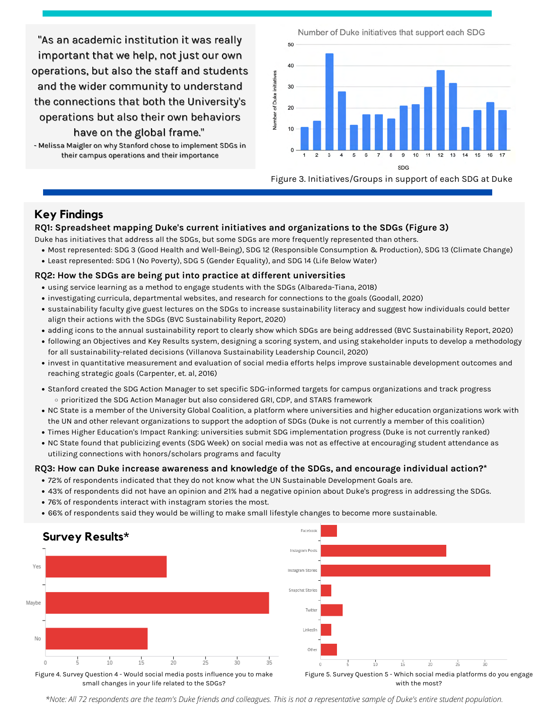"As an academic institution it was really important that we help, not just our own operations, but also the staff and students and the wider community to understand the connections that both the University's operations but also their own behaviors have on the global frame."

- Melissa Maigler on why Stanford chose to implement SDGs in their campus operations and their importance

Number of Duke initiatives that support each SDG



Figure 3. Initiatives/Groups in support of each SDG at Duke

#### **Key Findings**

#### **RQ1: Spreadsheet mapping Duke's current initiatives and organizations to the SDGs (Figure 3)**

Duke has initiatives that address all the SDGs, but some SDGs are more frequently represented than others.

- Most represented: SDG 3 (Good Health and Well-Being), SDG 12 (Responsible Consumption & Production), SDG 13 (Climate Change)
- Least represented: SDG 1 (No Poverty), SDG 5 (Gender Equality), and SDG 14 (Life Below Water)

#### **RQ2: How the SDGs are being put into practice at different universities**

- using service learning as a method to engage students with the SDGs (Albareda-Tiana, 2018)
- investigating curricula, departmental websites, and research for connections to the goals (Goodall, 2020)
- sustainability faculty give guest lectures on the SDGs to increase sustainability literacy and suggest how individuals could better align their actions with the SDGs (BVC Sustainability Report, 2020)
- adding icons to the annual sustainability report to clearly show which SDGs are being addressed (BVC Sustainability Report, 2020)
- following an Objectives and Key Results system, designing a scoring system, and using stakeholder inputs to develop a methodology for all sustainability-related decisions (Villanova Sustainability Leadership Council, 2020)
- invest in quantitative measurement and evaluation of social media efforts helps improve sustainable development outcomes and reaching strategic goals (Carpenter, et. al, 2016)
- Stanford created the SDG Action Manager to set specific SDG-informed targets for campus organizations and track progress  $\circ$  prioritized the SDG Action Manager but also considered GRI, CDP, and STARS framework
- NC State is a member of the University Global Coalition, a platform where universities and higher education organizations work with the UN and other relevant organizations to support the adoption of SDGs (Duke is not currently a member of this coalition)
- Times Higher Education's Impact Ranking: universities submit SDG implementation progress (Duke is not currently ranked)
- NC State found that publicizing events (SDG Week) on social media was not as effective at encouraging student attendance as utilizing connections with honors/scholars programs and faculty

#### **RQ3: How can Duke increase awareness and knowledge of the SDGs, and encourage individual action?\***

- 72% of respondents indicated that they do not know what the UN Sustainable Development Goals are .
- 43% of respondents did not have an opinion and 21% had a negative opinion about Duke's progress in addressing the SDGs.
- 76% of respondents interact with instagram stories the most.
- 66% of respondents said they would be willing to make small lifestyle changes to become more sustainable.



*\*Note: All 72 respondents are the team's Duke friends and colleagues. This is not a representative sample of Duke's entire student population.*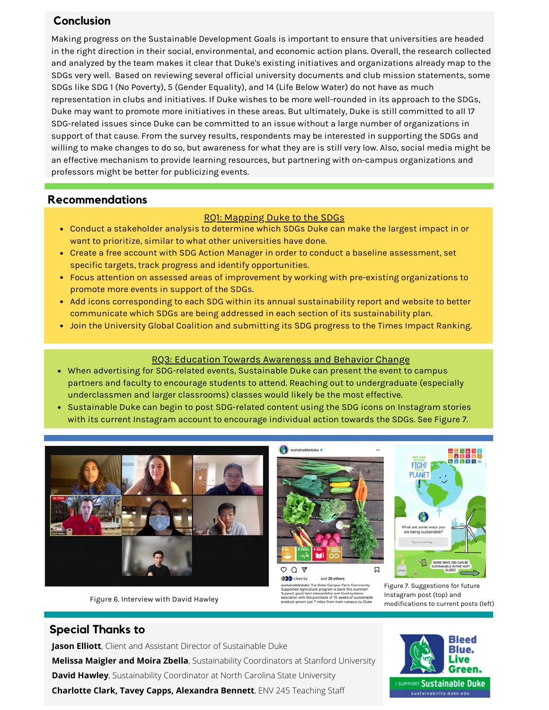## **Conclusion**

Making progress on the Sustainable Development Goals is important to ensure that universities are headed in the right direction in their social, environmental, and economic action plans. Overall, the research collected and analyzed by the team makes it clear that Duke's existing initiatives and organizations already map to the SDGs very well. Based on reviewing several official university documents and club mission statements, some SDGs like SDG 1 (No Poverty), 5 (Gender Equality), and 14 (Life Below Water) do not have as much representation in clubs and initiatives. If Duke wishes to be more well-rounded in its approach to the SDGs, Duke may want to promote more initiatives in these areas. But ultimately, Duke is still committed to all 17 SDG-related issues since Duke can be committed to an issue without a large number of organizations in support of that cause. From the survey results, respondents may be interested in supporting the SDGs and willing to make changes to do so, but awareness for what they are is still very low. Also, social media might be an effective mechanism to provide learning resources, but partnering with on-campus organizations and professors might be better for publicizing events.

### **Recommendations**

#### RQ1: Mapping Duke to the SDGs

- Conduct a stakeholder analysis to determine which SDGs Duke can make the largest impact in or want to prioritize, similar to what other universities have done.
- Create a free account with SDG Action Manager in order to conduct a baseline assessment, set specific targets, track progress and identify opportunities.
- Focus attention on assessed areas of improvement by working with pre-existing organizations to promote more events in support of the SDGs.
- Add icons corresponding to each SDG within its annual sustainability report and website to better communicate which SDGs are being addressed in each section of its sustainability plan.
- Join the University Global Coalition and submitting its SDG progress to the Times Impact Ranking.

#### RQ3: Education Towards Awareness and Behavior Change

- When advertising for SDG-related events, Sustainable Duke can present the event to campus partners and faculty to encourage students to attend. Reaching out to undergraduate (especially underclassmen and larger classrooms) classes would likely be the most effective.
- Sustainable Duke can begin to post SDG-related content using the SDG icons on Instagram stories with its current Instagram account to encourage individual action towards the SDGs. See Figure 7.



Figure 6. Interview with David Hawley



**GBD** Liked by and 29 others **Example School System Compus Farm Community**<br>Supported Agriculture program is back this summer!<br>Supported Agriculture program is back this summer!<br>education with the purchase of 15 weeks of sustainable<br>produce grown just

口

 $OQ$ 



Figure 7. Suggestions for future Instagram post (top) and modifications to current posts (left)

## **Special Thanks to**

**Jason Elliott**, Client and Assistant Director of Sustainable Duke **Melissa Maigler and Moira Zbella**, Sustainability Coordinators at Stanford University **David Hawley**, Sustainability Coordinator at North Carolina State University **Charlotte Clark, Tavey Capps, Alexandra Bennett**, ENV 245 Teaching Staff